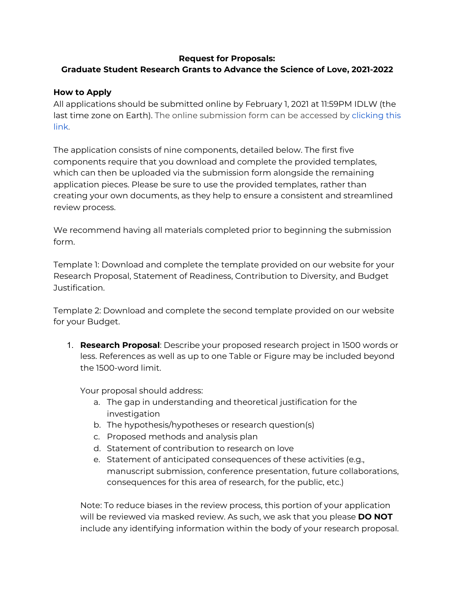## **Request for Proposals:**

# **Graduate Student Research Grants to Advance the Science of Love, 2021-2022**

### **How to Apply**

All applications should be submitted online by February 1, 2021 at 11:59PM IDLW (the last time zone on Earth). The online submission form can be accessed by [clicking](https://unc.az1.qualtrics.com/jfe/form/SV_2lOmL9PA00WvRel) this [link.](https://unc.az1.qualtrics.com/jfe/form/SV_2lOmL9PA00WvRel)

The application consists of nine components, detailed below. The first five components require that you download and complete the provided templates, which can then be uploaded via the submission form alongside the remaining application pieces. Please be sure to use the provided templates, rather than creating your own documents, as they help to ensure a consistent and streamlined review process.

We recommend having all materials completed prior to beginning the submission form.

Template 1: Download and complete the template provided on our website for your Research Proposal, Statement of Readiness, Contribution to Diversity, and Budget Justification.

Template 2: Download and complete the second template provided on our website for your Budget.

1. **Research Proposal**: Describe your proposed research project in 1500 words or less. References as well as up to one Table or Figure may be included beyond the 1500-word limit.

Your proposal should address:

- a. The gap in understanding and theoretical justification for the investigation
- b. The hypothesis/hypotheses or research question(s)
- c. Proposed methods and analysis plan
- d. Statement of contribution to research on love
- e. Statement of anticipated consequences of these activities (e.g., manuscript submission, conference presentation, future collaborations, consequences for this area of research, for the public, etc.)

Note: To reduce biases in the review process, this portion of your application will be reviewed via masked review. As such, we ask that you please **DO NOT** include any identifying information within the body of your research proposal.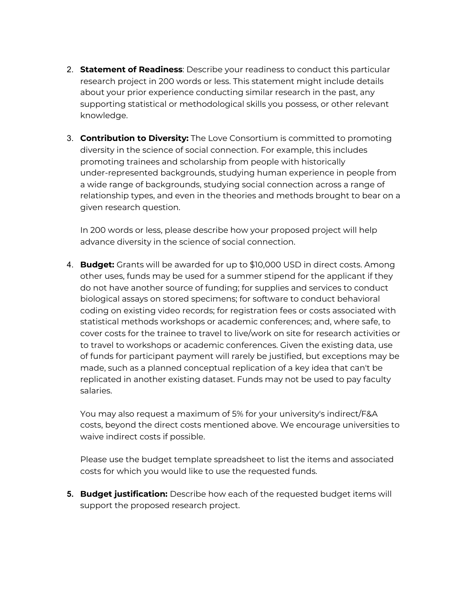- 2. **Statement of Readiness**: Describe your readiness to conduct this particular research project in 200 words or less. This statement might include details about your prior experience conducting similar research in the past, any supporting statistical or methodological skills you possess, or other relevant knowledge.
- 3. **Contribution to Diversity:** The Love Consortium is committed to promoting diversity in the science of social connection. For example, this includes promoting trainees and scholarship from people with historically under-represented backgrounds, studying human experience in people from a wide range of backgrounds, studying social connection across a range of relationship types, and even in the theories and methods brought to bear on a given research question.

In 200 words or less, please describe how your proposed project will help advance diversity in the science of social connection.

4. **Budget:** Grants will be awarded for up to \$10,000 USD in direct costs. Among other uses, funds may be used for a summer stipend for the applicant if they do not have another source of funding; for supplies and services to conduct biological assays on stored specimens; for software to conduct behavioral coding on existing video records; for registration fees or costs associated with statistical methods workshops or academic conferences; and, where safe, to cover costs for the trainee to travel to live/work on site for research activities or to travel to workshops or academic conferences. Given the existing data, use of funds for participant payment will rarely be justified, but exceptions may be made, such as a planned conceptual replication of a key idea that can't be replicated in another existing dataset. Funds may not be used to pay faculty salaries.

You may also request a maximum of 5% for your university's indirect/F&A costs, beyond the direct costs mentioned above. We encourage universities to waive indirect costs if possible.

Please use the budget template spreadsheet to list the items and associated costs for which you would like to use the requested funds.

**5. Budget justification:** Describe how each of the requested budget items will support the proposed research project.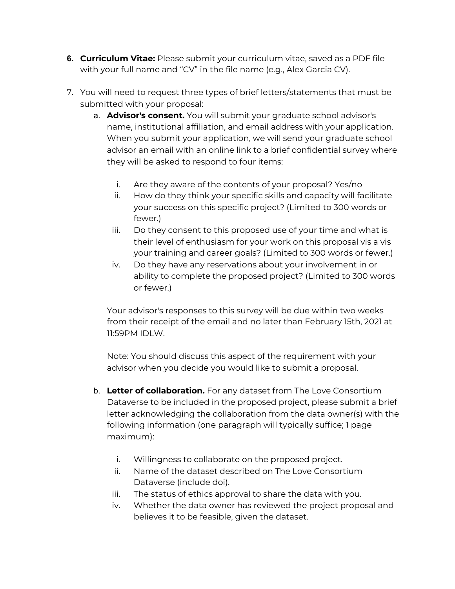- **6. Curriculum Vitae:** Please submit your curriculum vitae, saved as a PDF file with your full name and "CV" in the file name (e.g., Alex Garcia CV).
- 7. You will need to request three types of brief letters/statements that must be submitted with your proposal:
	- a. **Advisor's consent.** You will submit your graduate school advisor's name, institutional affiliation, and email address with your application. When you submit your application, we will send your graduate school advisor an email with an online link to a brief confidential survey where they will be asked to respond to four items:
		- i. Are they aware of the contents of your proposal? Yes/no
		- ii. How do they think your specific skills and capacity will facilitate your success on this specific project? (Limited to 300 words or fewer.)
		- iii. Do they consent to this proposed use of your time and what is their level of enthusiasm for your work on this proposal vis a vis your training and career goals? (Limited to 300 words or fewer.)
		- iv. Do they have any reservations about your involvement in or ability to complete the proposed project? (Limited to 300 words or fewer.)

Your advisor's responses to this survey will be due within two weeks from their receipt of the email and no later than February 15th, 2021 at 11:59PM IDLW.

Note: You should discuss this aspect of the requirement with your advisor when you decide you would like to submit a proposal.

- b. **Letter of collaboration.** For any dataset from The Love Consortium Dataverse to be included in the proposed project, please submit a brief letter acknowledging the collaboration from the data owner(s) with the following information (one paragraph will typically suffice; 1 page maximum):
	- i. Willingness to collaborate on the proposed project.
	- ii. Name of the dataset described on The Love Consortium Dataverse (include doi).
	- iii. The status of ethics approval to share the data with you.
	- iv. Whether the data owner has reviewed the project proposal and believes it to be feasible, given the dataset.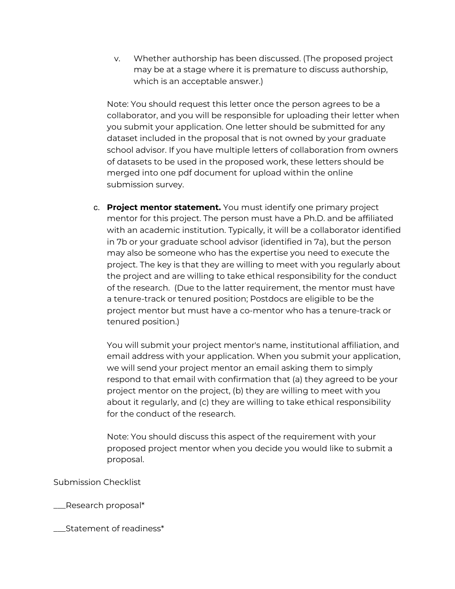v. Whether authorship has been discussed. (The proposed project may be at a stage where it is premature to discuss authorship, which is an acceptable answer.)

Note: You should request this letter once the person agrees to be a collaborator, and you will be responsible for uploading their letter when you submit your application. One letter should be submitted for any dataset included in the proposal that is not owned by your graduate school advisor. If you have multiple letters of collaboration from owners of datasets to be used in the proposed work, these letters should be merged into one pdf document for upload within the online submission survey.

c. **Project mentor statement.** You must identify one primary project mentor for this project. The person must have a Ph.D. and be affiliated with an academic institution. Typically, it will be a collaborator identified in 7b or your graduate school advisor (identified in 7a), but the person may also be someone who has the expertise you need to execute the project. The key is that they are willing to meet with you regularly about the project and are willing to take ethical responsibility for the conduct of the research. (Due to the latter requirement, the mentor must have a tenure-track or tenured position; Postdocs are eligible to be the project mentor but must have a co-mentor who has a tenure-track or tenured position.)

You will submit your project mentor's name, institutional affiliation, and email address with your application. When you submit your application, we will send your project mentor an email asking them to simply respond to that email with confirmation that (a) they agreed to be your project mentor on the project, (b) they are willing to meet with you about it regularly, and (c) they are willing to take ethical responsibility for the conduct of the research.

Note: You should discuss this aspect of the requirement with your proposed project mentor when you decide you would like to submit a proposal.

Submission Checklist

\_\_\_Research proposal\*

\_\_\_Statement of readiness\*